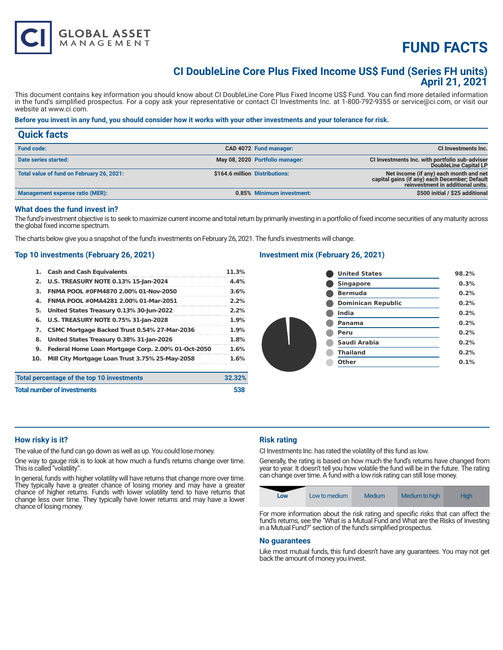

# **CI DoubleLine Core Plus Fixed Income US\$ Fund (Series FH units) April 21, 2021**

This document contains key information you should know about CI DoubleLine Core Plus Fixed Income US\$ Fund. You can find more detailed information in the fund's simplified prospectus. For a copy ask your representative or contact CI Investments Inc. at 1-800-792-9355 or service@ci.com, or visit our website at www.ci.com.

# **Before you invest in any fund, you should consider how it works with your other investments and your tolerance for risk.**

| <b>Quick facts</b>                        |                                |                                 |                                                                                                                              |
|-------------------------------------------|--------------------------------|---------------------------------|------------------------------------------------------------------------------------------------------------------------------|
| <b>Fund code:</b>                         |                                | CAD 4072 Fund manager:          | CI Investments Inc.                                                                                                          |
| Date series started:                      |                                | May 08, 2020 Portfolio manager: | CI Investments Inc. with portfolio sub-adviser<br>DoubleLine Capital LP                                                      |
| Total value of fund on February 26, 2021: | \$164.6 million Distributions: |                                 | Net income (if any) each month and net<br>capital gains (if any) each December; Default<br>reinvestment in additional units. |
| Management expense ratio (MER):           |                                | 0.85% Minimum investment:       | \$500 initial / \$25 additional                                                                                              |

#### **What does the fund invest in?**

The fund's investment objective is to seek to maximize current income and total return by primarily investing in a portfolio of fixed income securities of any maturity across the global fixed income spectrum.

The charts below give you a snapshot of the fund's investments on February 26, 2021. The fund's investments will change.

# **Top 10 investments (February 26, 2021)**

**GLOBAL ASSET**<br>MANAGEMENT

|                                            | 1. Cash and Cash Equivalents                       | 11.3%  |
|--------------------------------------------|----------------------------------------------------|--------|
|                                            | 2. U.S. TREASURY NOTE 0.13% 15-Jan-2024            | 4.4%   |
| З.                                         | FNMA POOL #0FM4870 2.00% 01-Nov-2050               | 3.6%   |
| 4.                                         | FNMA POOL #0MA4281 2.00% 01-Mar-2051               | 2.2%   |
| 5.                                         | United States Treasury 0.13% 30-Jun-2022           | 2.2%   |
|                                            | 6. U.S. TREASURY NOTE 0.75% 31-Jan-2028            | 1.9%   |
|                                            | 7. CSMC Mortgage Backed Trust 0.54% 27-Mar-2036    | 1.9%   |
| 8.                                         | United States Treasury 0.38% 31-Jan-2026           | 1.8%   |
| 9.                                         | Federal Home Loan Mortgage Corp. 2.00% 01-Oct-2050 | 1.6%   |
| 10.                                        | Mill City Mortgage Loan Trust 3.75% 25-May-2058    | 1.6%   |
| Total percentage of the top 10 investments |                                                    | 32.32% |
|                                            |                                                    |        |

### **Investment mix (February 26, 2021)**

| <b>United States</b>      | 98.2% |
|---------------------------|-------|
| <b>Singapore</b>          | 0.3%  |
| <b>Bermuda</b>            | 0.2%  |
| <b>Dominican Republic</b> | 0.2%  |
| <b>India</b>              | 0.2%  |
| <b>Panama</b>             | 0.2%  |
| Peru                      | 0.2%  |
| Saudi Arabia              | 0.2%  |
| <b>Thailand</b>           | 0.2%  |
| <b>Other</b>              | 0.1%  |
|                           |       |

#### **How risky is it?**

The value of the fund can go down as well as up. You could lose money.

One way to gauge risk is to look at how much a fund's returns change over time. This is called "volatility".

**Total number of investments 538** 

In general, funds with higher volatility will have returns that change more over time. They typically have a greater chance of losing money and may have a greater chance of higher returns. Funds with lower volatility tend to have returns that change less over time. They typically have lower returns and may have a lower chance of losing money.

# **Risk rating**

CI Investments Inc. has rated the volatility of this fund as low.

Generally, the rating is based on how much the fund's returns have changed from year to year. It doesn't tell you how volatile the fund will be in the future. The rating can change over time. A fund with a low risk rating can still lose money.



For more information about the risk rating and specific risks that can affect the fund's returns, see the "What is a Mutual Fund and What are the Risks of Investing in a Mutual Fund?" section of the fund's simplified prospectus.

#### **No guarantees**

Like most mutual funds, this fund doesn't have any guarantees. You may not get back the amount of money you invest.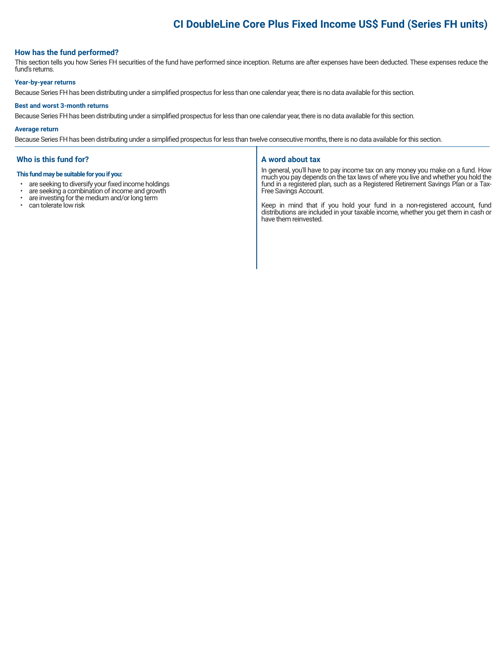# **CI DoubleLine Core Plus Fixed Income US\$ Fund (Series FH units)**

### **How has the fund performed?**

This section tells you how Series FH securities of the fund have performed since inception. Returns are after expenses have been deducted. These expenses reduce the fund's returns.

#### **Year-by-year returns**

Because Series FH has been distributing under a simplified prospectus for less than one calendar year, there is no data available for this section.

#### **Best and worst 3-month returns**

Because Series FH has been distributing under a simplified prospectus for less than one calendar year, there is no data available for this section.

#### **Average return**

Because Series FH has been distributing under a simplified prospectus for less than twelve consecutive months, there is no data available for this section.

#### **Who is this fund for?**

#### **This fund may be suitable for you if you:**

- are seeking to diversify your fixed income holdings<br>• are seeking a combination of income and growth
- are seeking a combination of income and growth<br>• are investing for the medium and/or long term
- are investing for the medium and/or long term
- can tolerate low risk

#### **A word about tax**

In general, you'll have to pay income tax on any money you make on a fund. How much you pay depends on the tax laws of where you live and whether you hold the fund in a registered plan, such as a Registered Retirement Savings Plan or a Tax-Free Savings Account.

Keep in mind that if you hold your fund in a non-registered account, fund distributions are included in your taxable income, whether you get them in cash or have them reinvested.